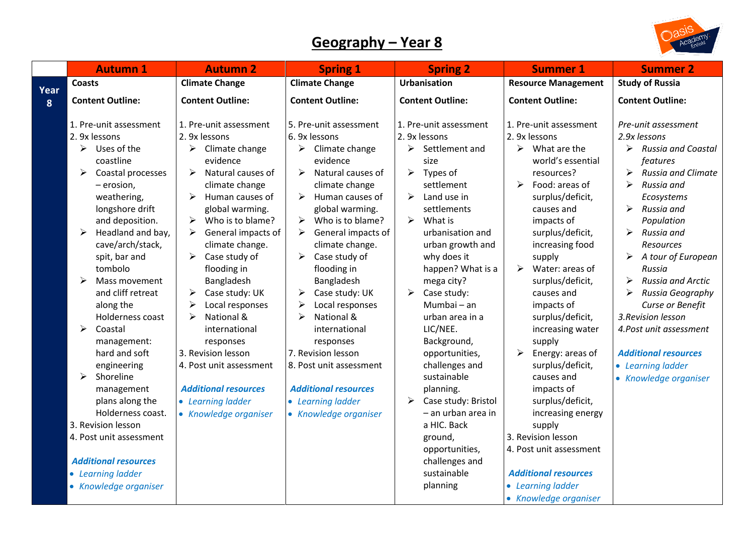## **Geography – Year 8**



|      | <b>Autumn 1</b>                                                                                                                                                                                                                                                                                                                                                                                                                                                 | <b>Autumn 2</b>                                                                                                                                                                                                                                                                                                                                                                                                                                                                                                                          | <b>Spring 1</b>                                                                                                                                                                                                                                                                                                                                                                                                                                                                                                                                                               | <b>Spring 2</b>                                                                                                                                                                                                                                                                                                                                                                                                                                                                       | <b>Summer 1</b>                                                                                                                                                                                                                                                                                                                                                                                                                                                                                                         | <b>Summer 2</b>                                                                                                                                                                                                                                                                                                                                                                                                                                                                    |
|------|-----------------------------------------------------------------------------------------------------------------------------------------------------------------------------------------------------------------------------------------------------------------------------------------------------------------------------------------------------------------------------------------------------------------------------------------------------------------|------------------------------------------------------------------------------------------------------------------------------------------------------------------------------------------------------------------------------------------------------------------------------------------------------------------------------------------------------------------------------------------------------------------------------------------------------------------------------------------------------------------------------------------|-------------------------------------------------------------------------------------------------------------------------------------------------------------------------------------------------------------------------------------------------------------------------------------------------------------------------------------------------------------------------------------------------------------------------------------------------------------------------------------------------------------------------------------------------------------------------------|---------------------------------------------------------------------------------------------------------------------------------------------------------------------------------------------------------------------------------------------------------------------------------------------------------------------------------------------------------------------------------------------------------------------------------------------------------------------------------------|-------------------------------------------------------------------------------------------------------------------------------------------------------------------------------------------------------------------------------------------------------------------------------------------------------------------------------------------------------------------------------------------------------------------------------------------------------------------------------------------------------------------------|------------------------------------------------------------------------------------------------------------------------------------------------------------------------------------------------------------------------------------------------------------------------------------------------------------------------------------------------------------------------------------------------------------------------------------------------------------------------------------|
| Year | <b>Coasts</b>                                                                                                                                                                                                                                                                                                                                                                                                                                                   | <b>Climate Change</b>                                                                                                                                                                                                                                                                                                                                                                                                                                                                                                                    | <b>Climate Change</b>                                                                                                                                                                                                                                                                                                                                                                                                                                                                                                                                                         | <b>Urbanisation</b>                                                                                                                                                                                                                                                                                                                                                                                                                                                                   | <b>Resource Management</b>                                                                                                                                                                                                                                                                                                                                                                                                                                                                                              | <b>Study of Russia</b>                                                                                                                                                                                                                                                                                                                                                                                                                                                             |
| 8    | <b>Content Outline:</b>                                                                                                                                                                                                                                                                                                                                                                                                                                         | <b>Content Outline:</b>                                                                                                                                                                                                                                                                                                                                                                                                                                                                                                                  | <b>Content Outline:</b>                                                                                                                                                                                                                                                                                                                                                                                                                                                                                                                                                       | <b>Content Outline:</b>                                                                                                                                                                                                                                                                                                                                                                                                                                                               | <b>Content Outline:</b>                                                                                                                                                                                                                                                                                                                                                                                                                                                                                                 | <b>Content Outline:</b>                                                                                                                                                                                                                                                                                                                                                                                                                                                            |
|      | 1. Pre-unit assessment<br>2. 9x lessons<br>≻<br>Uses of the<br>coastline<br>≻<br>Coastal processes<br>$-$ erosion,<br>weathering,<br>longshore drift<br>and deposition.<br>Headland and bay,<br>➤<br>cave/arch/stack,<br>spit, bar and<br>tombolo<br>Mass movement<br>and cliff retreat<br>along the<br>Holderness coast<br>↘<br>Coastal<br>management:<br>hard and soft<br>engineering<br>➤<br>Shoreline<br>management<br>plans along the<br>Holderness coast. | 1. Pre-unit assessment<br>2. 9x lessons<br>$\blacktriangleright$<br>Climate change<br>evidence<br>Natural causes of<br>➤<br>climate change<br>≻<br>Human causes of<br>global warming.<br>Who is to blame?<br>➤<br>General impacts of<br>➤<br>climate change.<br>Case study of<br>➤<br>flooding in<br>Bangladesh<br>Case study: UK<br>⋗<br>Local responses<br>National &<br>⋗<br>international<br>responses<br>3. Revision lesson<br>4. Post unit assessment<br><b>Additional resources</b><br>• Learning ladder<br>• Knowledge organiser | 5. Pre-unit assessment<br>6. 9x lessons<br>$\triangleright$ Climate change<br>evidence<br>Natural causes of<br>➤<br>climate change<br>Human causes of<br>$\blacktriangleright$<br>global warming.<br>Who is to blame?<br>➤<br>≻<br>General impacts of<br>climate change.<br>$\blacktriangleright$<br>Case study of<br>flooding in<br>Bangladesh<br>Case study: UK<br>➤<br>Local responses<br>≻<br>National &<br>↘<br>international<br>responses<br>7. Revision lesson<br>8. Post unit assessment<br><b>Additional resources</b><br>• Learning ladder<br>• Knowledge organiser | 1. Pre-unit assessment<br>2. 9x lessons<br>$\triangleright$ Settlement and<br>size<br>➤<br>Types of<br>settlement<br>➤<br>Land use in<br>settlements<br>$\blacktriangleright$<br>What is<br>urbanisation and<br>urban growth and<br>why does it<br>happen? What is a<br>mega city?<br>➤<br>Case study:<br>Mumbai - an<br>urban area in a<br>LIC/NEE.<br>Background,<br>opportunities,<br>challenges and<br>sustainable<br>planning.<br>➤<br>Case study: Bristol<br>- an urban area in | 1. Pre-unit assessment<br>2. 9x lessons<br>$\triangleright$ What are the<br>world's essential<br>resources?<br>Food: areas of<br>$\blacktriangleright$<br>surplus/deficit,<br>causes and<br>impacts of<br>surplus/deficit,<br>increasing food<br>supply<br>$\blacktriangleright$<br>Water: areas of<br>surplus/deficit,<br>causes and<br>impacts of<br>surplus/deficit,<br>increasing water<br>supply<br>Energy: areas of<br>≻<br>surplus/deficit,<br>causes and<br>impacts of<br>surplus/deficit,<br>increasing energy | Pre-unit assessment<br>2.9x lessons<br>$\blacktriangleright$<br>Russia and Coastal<br>features<br><b>Russia and Climate</b><br>➤<br>⋗<br>Russia and<br>Ecosystems<br>Russia and<br>➤<br>Population<br>Russia and<br>➤<br><b>Resources</b><br>A tour of European<br>➤<br>Russia<br>Russia and Arctic<br>➤<br>Russia Geography<br>≻<br>Curse or Benefit<br>3. Revision lesson<br>4.Post unit assessment<br><b>Additional resources</b><br>• Learning ladder<br>• Knowledge organiser |
|      | 3. Revision lesson<br>4. Post unit assessment<br><b>Additional resources</b><br>• Learning ladder<br>• Knowledge organiser                                                                                                                                                                                                                                                                                                                                      |                                                                                                                                                                                                                                                                                                                                                                                                                                                                                                                                          |                                                                                                                                                                                                                                                                                                                                                                                                                                                                                                                                                                               | a HIC. Back<br>ground,<br>opportunities,<br>challenges and<br>sustainable<br>planning                                                                                                                                                                                                                                                                                                                                                                                                 | supply<br>3. Revision lesson<br>4. Post unit assessment<br><b>Additional resources</b><br>• Learning ladder<br>• Knowledge organiser                                                                                                                                                                                                                                                                                                                                                                                    |                                                                                                                                                                                                                                                                                                                                                                                                                                                                                    |